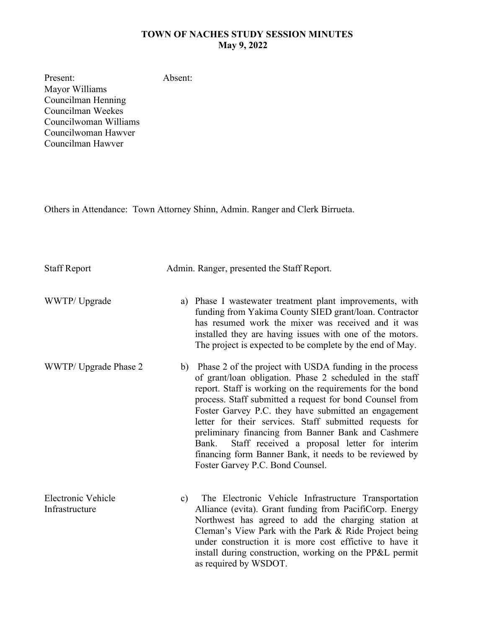## **TOWN OF NACHES STUDY SESSION MINUTES May 9, 2022**

Present: Mayor Williams Councilman Henning Councilman Weekes Councilwoman Williams Councilwoman Hawver Councilman Hawver

Others in Attendance: Town Attorney Shinn, Admin. Ranger and Clerk Birrueta.

Absent:

| <b>Staff Report</b>                  | Admin. Ranger, presented the Staff Report.                                                                                                                                                                                                                                                                                                                                                                                                                                                                                                                                          |
|--------------------------------------|-------------------------------------------------------------------------------------------------------------------------------------------------------------------------------------------------------------------------------------------------------------------------------------------------------------------------------------------------------------------------------------------------------------------------------------------------------------------------------------------------------------------------------------------------------------------------------------|
| WWTP/Upgrade                         | Phase I wastewater treatment plant improvements, with<br>a)<br>funding from Yakima County SIED grant/loan. Contractor<br>has resumed work the mixer was received and it was<br>installed they are having issues with one of the motors.<br>The project is expected to be complete by the end of May.                                                                                                                                                                                                                                                                                |
| WWTP/ Upgrade Phase 2                | Phase 2 of the project with USDA funding in the process<br>b)<br>of grant/loan obligation. Phase 2 scheduled in the staff<br>report. Staff is working on the requirements for the bond<br>process. Staff submitted a request for bond Counsel from<br>Foster Garvey P.C. they have submitted an engagement<br>letter for their services. Staff submitted requests for<br>preliminary financing from Banner Bank and Cashmere<br>Staff received a proposal letter for interim<br>Bank.<br>financing form Banner Bank, it needs to be reviewed by<br>Foster Garvey P.C. Bond Counsel. |
| Electronic Vehicle<br>Infrastructure | The Electronic Vehicle Infrastructure Transportation<br>c)<br>Alliance (evita). Grant funding from PacifiCorp. Energy<br>Northwest has agreed to add the charging station at<br>Cleman's View Park with the Park & Ride Project being<br>under construction it is more cost effictive to have it<br>install during construction, working on the PP&L permit<br>as required by WSDOT.                                                                                                                                                                                                |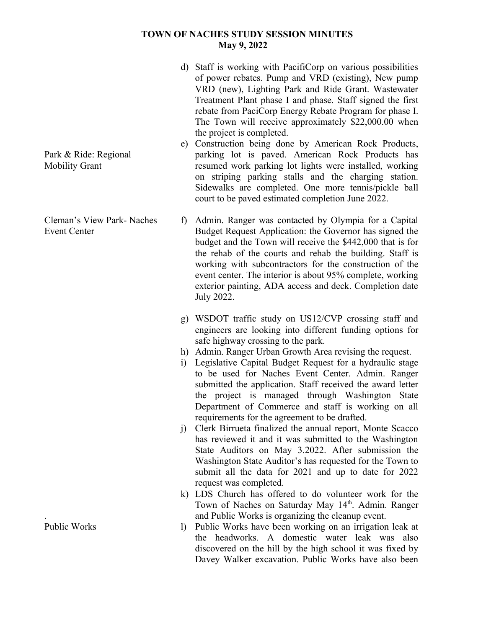## **TOWN OF NACHES STUDY SESSION MINUTES May 9, 2022**

- d) Staff is working with PacifiCorp on various possibilities of power rebates. Pump and VRD (existing), New pump VRD (new), Lighting Park and Ride Grant. Wastewater Treatment Plant phase I and phase. Staff signed the first rebate from PaciCorp Energy Rebate Program for phase I. The Town will receive approximately \$22,000.00 when the project is completed.
- e) Construction being done by American Rock Products, parking lot is paved. American Rock Products has resumed work parking lot lights were installed, working on striping parking stalls and the charging station. Sidewalks are completed. One more tennis/pickle ball court to be paved estimated completion June 2022.
- f) Admin. Ranger was contacted by Olympia for a Capital Budget Request Application: the Governor has signed the budget and the Town will receive the \$442,000 that is for the rehab of the courts and rehab the building. Staff is working with subcontractors for the construction of the event center. The interior is about 95% complete, working exterior painting, ADA access and deck. Completion date July 2022.
- g) WSDOT traffic study on US12/CVP crossing staff and engineers are looking into different funding options for safe highway crossing to the park.
- h) Admin. Ranger Urban Growth Area revising the request.
- i) Legislative Capital Budget Request for a hydraulic stage to be used for Naches Event Center. Admin. Ranger submitted the application. Staff received the award letter the project is managed through Washington State Department of Commerce and staff is working on all requirements for the agreement to be drafted.
- j) Clerk Birrueta finalized the annual report, Monte Scacco has reviewed it and it was submitted to the Washington State Auditors on May 3.2022. After submission the Washington State Auditor's has requested for the Town to submit all the data for 2021 and up to date for 2022 request was completed.
- k) LDS Church has offered to do volunteer work for the Town of Naches on Saturday May 14th. Admin. Ranger and Public Works is organizing the cleanup event.
- l) Public Works have been working on an irrigation leak at the headworks. A domestic water leak was also discovered on the hill by the high school it was fixed by Davey Walker excavation. Public Works have also been

Park & Ride: Regional Mobility Grant

Cleman's View Park- Naches Event Center

Public Works

.